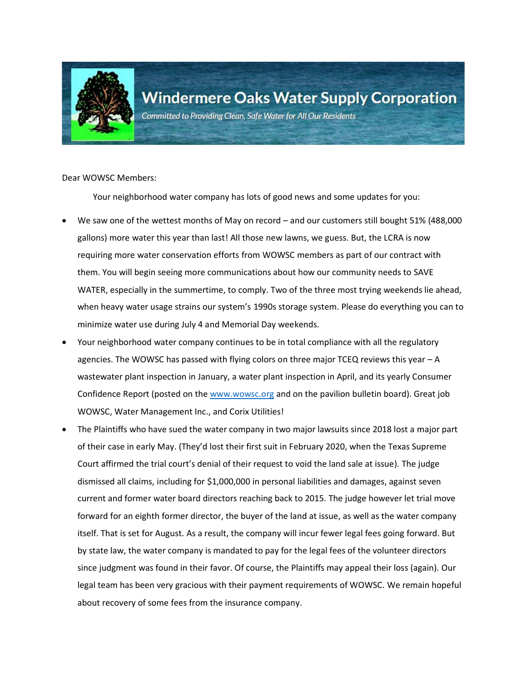

Committed to Providing Clean, Safe Water for All Our Residents

Dear WOWSC Members:

Your neighborhood water company has lots of good news and some updates for you:

- We saw one of the wettest months of May on record and our customers still bought 51% (488,000 gallons) more water this year than last! All those new lawns, we guess. But, the LCRA is now requiring more water conservation efforts from WOWSC members as part of our contract with them. You will begin seeing more communications about how our community needs to SAVE WATER, especially in the summertime, to comply. Two of the three most trying weekends lie ahead, when heavy water usage strains our system's 1990s storage system. Please do everything you can to minimize water use during July 4 and Memorial Day weekends.
- Your neighborhood water company continues to be in total compliance with all the regulatory agencies. The WOWSC has passed with flying colors on three major TCEQ reviews this year – A wastewater plant inspection in January, a water plant inspection in April, and its yearly Consumer Confidence Report (posted on the [www.wowsc.org](http://www.wowsc.org/) and on the pavilion bulletin board). Great job WOWSC, Water Management Inc., and Corix Utilities!
- The Plaintiffs who have sued the water company in two major lawsuits since 2018 lost a major part of their case in early May. (They'd lost their first suit in February 2020, when the Texas Supreme Court affirmed the trial court's denial of their request to void the land sale at issue). The judge dismissed all claims, including for \$1,000,000 in personal liabilities and damages, against seven current and former water board directors reaching back to 2015. The judge however let trial move forward for an eighth former director, the buyer of the land at issue, as well as the water company itself. That is set for August. As a result, the company will incur fewer legal fees going forward. But by state law, the water company is mandated to pay for the legal fees of the volunteer directors since judgment was found in their favor. Of course, the Plaintiffs may appeal their loss (again). Our legal team has been very gracious with their payment requirements of WOWSC. We remain hopeful about recovery of some fees from the insurance company.